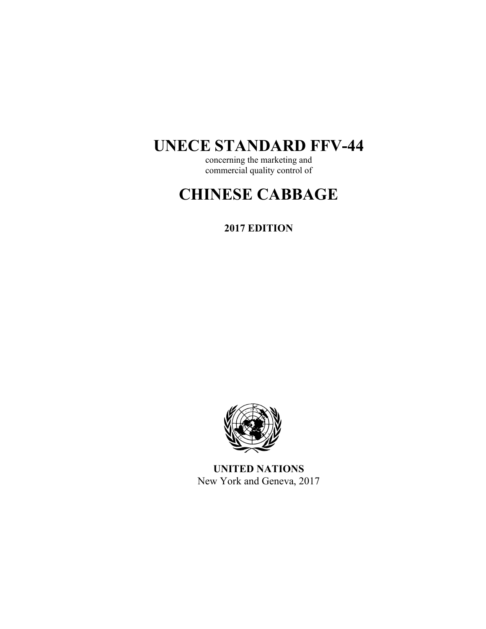## **UNECE STANDARD FFV-44**

concerning the marketing and commercial quality control of

# **CHINESE CABBAGE**

**2017 EDITION** 



**UNITED NATIONS**  New York and Geneva, 2017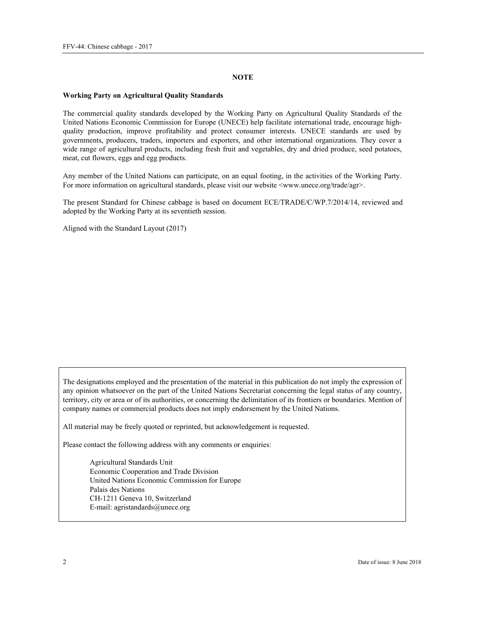#### **NOTE**

#### **Working Party on Agricultural Quality Standards**

The commercial quality standards developed by the Working Party on Agricultural Quality Standards of the United Nations Economic Commission for Europe (UNECE) help facilitate international trade, encourage highquality production, improve profitability and protect consumer interests. UNECE standards are used by governments, producers, traders, importers and exporters, and other international organizations. They cover a wide range of agricultural products, including fresh fruit and vegetables, dry and dried produce, seed potatoes, meat, cut flowers, eggs and egg products.

Any member of the United Nations can participate, on an equal footing, in the activities of the Working Party. For more information on agricultural standards, please visit our website <www.unece.org/trade/agr>.

The present Standard for Chinese cabbage is based on document ECE/TRADE/C/WP.7/2014/14, reviewed and adopted by the Working Party at its seventieth session.

Aligned with the Standard Layout (2017)

The designations employed and the presentation of the material in this publication do not imply the expression of any opinion whatsoever on the part of the United Nations Secretariat concerning the legal status of any country, territory, city or area or of its authorities, or concerning the delimitation of its frontiers or boundaries. Mention of company names or commercial products does not imply endorsement by the United Nations.

All material may be freely quoted or reprinted, but acknowledgement is requested.

Please contact the following address with any comments or enquiries:

Agricultural Standards Unit Economic Cooperation and Trade Division United Nations Economic Commission for Europe Palais des Nations CH-1211 Geneva 10, Switzerland E-mail: agristandards@unece.org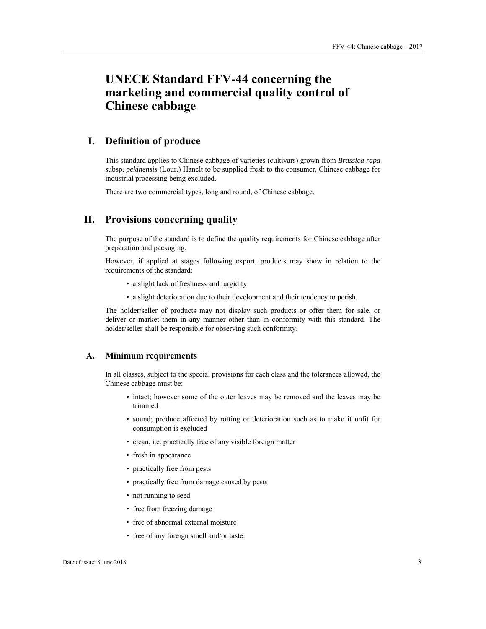## **UNECE Standard FFV-44 concerning the marketing and commercial quality control of Chinese cabbage**

## **I. Definition of produce**

This standard applies to Chinese cabbage of varieties (cultivars) grown from *Brassica rapa* subsp. *pekinensis* (Lour*.*) Hanelt to be supplied fresh to the consumer, Chinese cabbage for industrial processing being excluded.

There are two commercial types, long and round, of Chinese cabbage.

## **II. Provisions concerning quality**

The purpose of the standard is to define the quality requirements for Chinese cabbage after preparation and packaging.

However, if applied at stages following export, products may show in relation to the requirements of the standard:

- a slight lack of freshness and turgidity
- a slight deterioration due to their development and their tendency to perish.

The holder/seller of products may not display such products or offer them for sale, or deliver or market them in any manner other than in conformity with this standard. The holder/seller shall be responsible for observing such conformity.

#### **A. Minimum requirements**

In all classes, subject to the special provisions for each class and the tolerances allowed, the Chinese cabbage must be:

- intact; however some of the outer leaves may be removed and the leaves may be trimmed
- sound; produce affected by rotting or deterioration such as to make it unfit for consumption is excluded
- clean, i.e. practically free of any visible foreign matter
- fresh in appearance
- practically free from pests
- practically free from damage caused by pests
- not running to seed
- free from freezing damage
- free of abnormal external moisture
- free of any foreign smell and/or taste.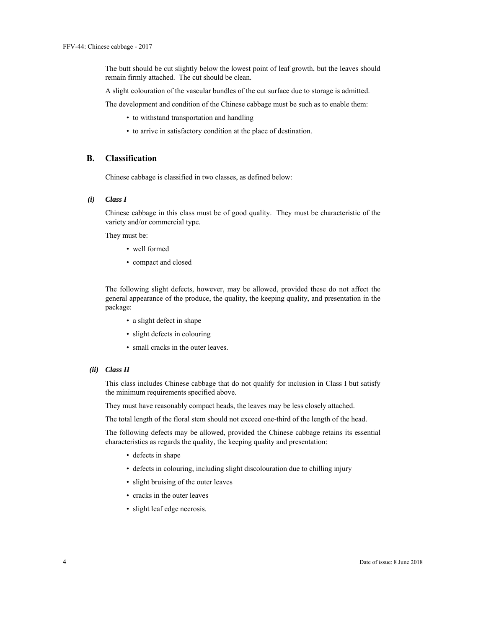The butt should be cut slightly below the lowest point of leaf growth, but the leaves should remain firmly attached. The cut should be clean.

A slight colouration of the vascular bundles of the cut surface due to storage is admitted.

The development and condition of the Chinese cabbage must be such as to enable them:

- to withstand transportation and handling
- to arrive in satisfactory condition at the place of destination.

#### **B. Classification**

Chinese cabbage is classified in two classes, as defined below:

#### *(i) Class I*

Chinese cabbage in this class must be of good quality. They must be characteristic of the variety and/or commercial type.

They must be:

- well formed
- compact and closed

The following slight defects, however, may be allowed, provided these do not affect the general appearance of the produce, the quality, the keeping quality, and presentation in the package:

- a slight defect in shape
- slight defects in colouring
- small cracks in the outer leaves.

#### *(ii) Class II*

This class includes Chinese cabbage that do not qualify for inclusion in Class I but satisfy the minimum requirements specified above.

They must have reasonably compact heads, the leaves may be less closely attached.

The total length of the floral stem should not exceed one-third of the length of the head.

The following defects may be allowed, provided the Chinese cabbage retains its essential characteristics as regards the quality, the keeping quality and presentation:

- defects in shape
- defects in colouring, including slight discolouration due to chilling injury
- slight bruising of the outer leaves
- cracks in the outer leaves
- slight leaf edge necrosis.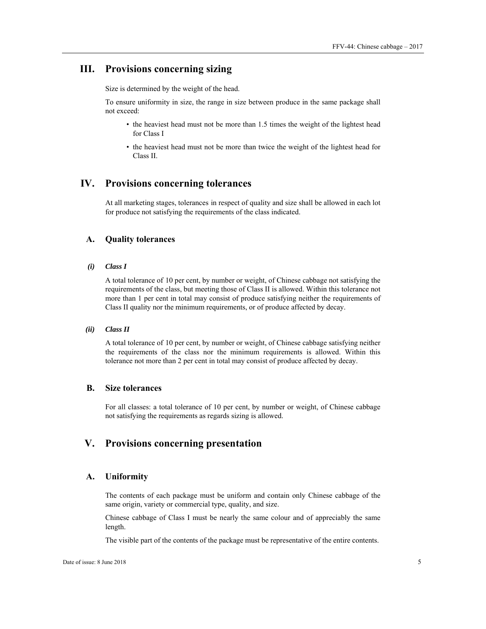## **III. Provisions concerning sizing**

Size is determined by the weight of the head.

To ensure uniformity in size, the range in size between produce in the same package shall not exceed:

- the heaviest head must not be more than 1.5 times the weight of the lightest head for Class I
- the heaviest head must not be more than twice the weight of the lightest head for Class II.

### **IV. Provisions concerning tolerances**

At all marketing stages, tolerances in respect of quality and size shall be allowed in each lot for produce not satisfying the requirements of the class indicated.

#### **A. Quality tolerances**

*(i) Class I* 

A total tolerance of 10 per cent, by number or weight, of Chinese cabbage not satisfying the requirements of the class, but meeting those of Class II is allowed. Within this tolerance not more than 1 per cent in total may consist of produce satisfying neither the requirements of Class II quality nor the minimum requirements, or of produce affected by decay.

#### *(ii) Class II*

A total tolerance of 10 per cent, by number or weight, of Chinese cabbage satisfying neither the requirements of the class nor the minimum requirements is allowed. Within this tolerance not more than 2 per cent in total may consist of produce affected by decay.

### **B. Size tolerances**

For all classes: a total tolerance of 10 per cent, by number or weight, of Chinese cabbage not satisfying the requirements as regards sizing is allowed.

## **V. Provisions concerning presentation**

#### **A. Uniformity**

The contents of each package must be uniform and contain only Chinese cabbage of the same origin, variety or commercial type, quality, and size.

Chinese cabbage of Class I must be nearly the same colour and of appreciably the same length.

The visible part of the contents of the package must be representative of the entire contents.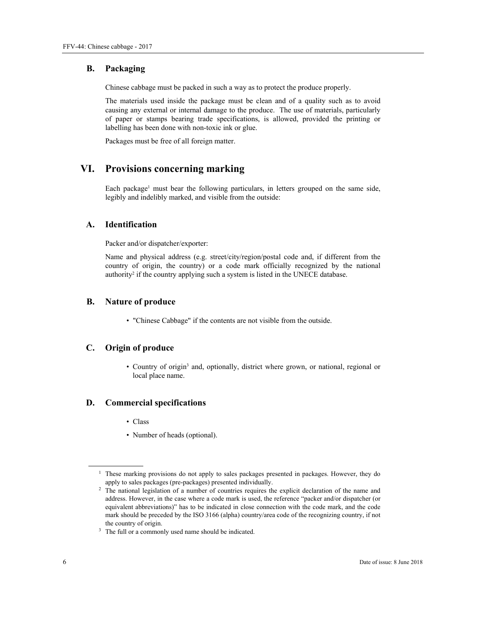#### **B. Packaging**

Chinese cabbage must be packed in such a way as to protect the produce properly.

The materials used inside the package must be clean and of a quality such as to avoid causing any external or internal damage to the produce. The use of materials, particularly of paper or stamps bearing trade specifications, is allowed, provided the printing or labelling has been done with non-toxic ink or glue.

Packages must be free of all foreign matter.

## **VI. Provisions concerning marking**

Each package<sup>1</sup> must bear the following particulars, in letters grouped on the same side, legibly and indelibly marked, and visible from the outside:

#### **A. Identification**

Packer and/or dispatcher/exporter:

Name and physical address (e.g. street/city/region/postal code and, if different from the country of origin, the country) or a code mark officially recognized by the national authority<sup>2</sup> if the country applying such a system is listed in the UNECE database.

#### **B. Nature of produce**

• "Chinese Cabbage" if the contents are not visible from the outside.

#### **C. Origin of produce**

• Country of origin<sup>3</sup> and, optionally, district where grown, or national, regional or local place name.

#### **D. Commercial specifications**

- Class
- Number of heads (optional).

 $\overline{a}$ 

<sup>&</sup>lt;sup>1</sup> These marking provisions do not apply to sales packages presented in packages. However, they do apply to sales packages (pre-packages) presented individually. 2 The national legislation of a number of countries requires the explicit declaration of the name and

address. However, in the case where a code mark is used, the reference "packer and/or dispatcher (or equivalent abbreviations)" has to be indicated in close connection with the code mark, and the code mark should be preceded by the ISO 3166 (alpha) country/area code of the recognizing country, if not the country of origin.<br> $3$  The full or a commonly used name should be indicated.